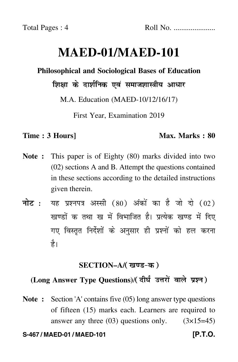# **MAED-01/MAED-101**

### **Philosophical and Sociological Bases of Education**

शिक्षा के दार्शनिक एवं समाजशास्त्रीय आधार

M.A. Education (MAED-10/12/16/17)

First Year, Examination 2019

#### **Time : 3 Hours]** Max. Marks : 80

- **Note :** This paper is of Eighty (80) marks divided into two (02) sections A and B. Attempt the questions contained in these sections according to the detailed instructions given therein.
- नोट : यह प्रश्नपत्र अस्सी (80) अंकों का है जो दो (02) खण्डों क तथा ख में विभाजित है। प्रत्येक खण्ड में दिए गए विस्तृत निर्देशों के अनुसार ही प्रश्नों को हल करन<mark>ा</mark> है।

#### **SECTION–A/**

# (Long Answer Type Questions)/( दीर्घ उत्तरों वाले प्रश्न )

**Note :** Section 'A' contains five (05) long answer type questions of fifteen (15) marks each. Learners are required to answer any three  $(03)$  questions only.  $(3\times15=45)$ 

#### **S-467 / MAED-01 / MAED-101 [P.T.O.**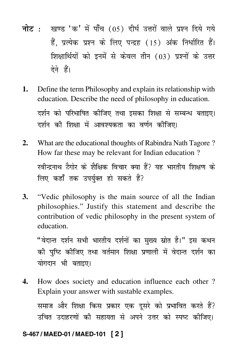- नोट : खण्ड 'क' में पाँच (05) दीर्घ उत्तरों वाले प्रश्न दिये गये हैं. प्रत्येक प्रश्न के लिए पन्द्रह (15) अंक निर्धारित हैं। शिक्षार्थियों को इनमें से केवल तीन (03) प्रश्नों के उत्तर देने हैं।
- Define the term Philosophy and explain its relationship with 1. education. Describe the need of philosophy in education. दर्शन को परिभाषित कीजिए तथा इसका शिक्षा से सम्बन्ध बताइए। दर्शन की शिक्षा में आवश्यकता का वर्णन कीजिए।
- What are the educational thoughts of Rabindra Nath Tagore?  $2.$ How far these may be relevant for Indian education? रवीन्द्रनाथ टैगोर के शैक्षिक विचार क्या हैं? यह भारतीय शिक्षण के लिए कहाँ तक उपर्यक्त हो सकते हैं?
- "Vedic philosophy is the main source of all the Indian  $\mathbf{3}$ . philosophies." Justify this statement and describe the contribution of vedic philosophy in the present system of education.

"वेदान्त दर्शन सभी भारतीय दर्शनों का मुख्य स्रोत है।" इस कथन की पुष्टि कीजिए तथा वर्तमान शिक्षा प्रणाली में वेदान्त दर्शन का योगदान भी बताइए।

 $\Delta$ . How does society and education influence each other? Explain your answer with sustable examples. समाज और शिक्षा किस प्रकार एक दुसरे को प्रभावित करते हैं? उचित उदाहरणों की सहायता से अपने उत्तर को स्पष्ट कीजिए।

#### S-467/MAED-01/MAED-101 [2]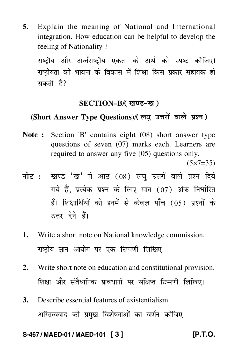**5.** Explain the meaning of National and International integration. How education can be helpful to develop the feeling of Nationality ?

राष्ट्रीय और अर्न्तराष्ट्रीय एकता के अर्थ को स्पष्ट कीजिए। राष्ट्रीयता की भावना के विकास में शिक्षा किस प्रकार सहायक हो सकती है?

#### **SECTION–B/**

## (Short Answer Type Questions)/( लघु उत्तरों वाले प्रश्न )

**Note :** Section 'B' contains eight (08) short answer type questions of seven (07) marks each. Learners are required to answer any five (05) questions only.

 $(5 \times 7 = 35)$ 

- <mark>नोट</mark> : खण्ड 'ख' में आठ (08) लघु उत्तरों वाले प्रश्न दिये गये हैं, प्रत्येक प्रश्न के लिए सात (07) अंक निर्धारित हैं। शिक्षार्थियों को इनमें से केवल पाँच (05) प्रश्नों के उत्तर देने हैं।
- **1.** Write a short note on National knowledge commission. राष्ट्रीय ज्ञान आयोग पर एक टिप्पणी लिखिए।
- **2.** Write short note on education and constitutional provision. शिक्षा और संवैधानिक प्रावधानों पर संक्षिप्त टिप्पणी लिखिए।
- **3.** Describe essential features of existentialism. अस्तित्ववाद की प्रमुख विशेषताओं का वर्णन कीजिए।

**S-467 / MAED-01 / MAED-101 [ 3 ] [P.T.O.**